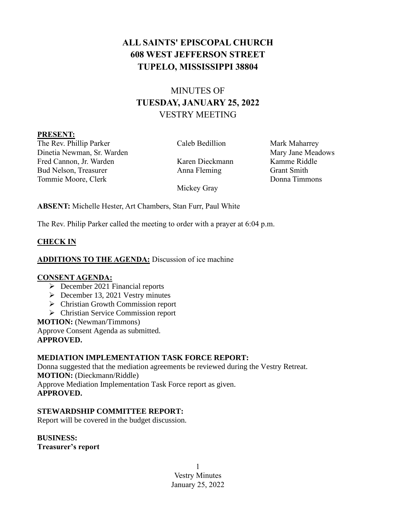# **ALL SAINTS' EPISCOPAL CHURCH 608 WEST JEFFERSON STREET TUPELO, MISSISSIPPI 38804**

# MINUTES OF **TUESDAY, JANUARY 25, 2022** VESTRY MEETING

#### **PRESENT:**

The Rev. Phillip Parker Caleb Bedillion Mark Maharrey Dinetia Newman, Sr. Warden Mary Jane Meadows Mary Jane Meadows Fred Cannon, Jr. Warden Karen Dieckmann Kamme Riddle Bud Nelson, Treasurer Anna Fleming Grant Smith Tommie Moore, Clerk Donna Timmons

Mickey Gray

**ABSENT:** Michelle Hester, Art Chambers, Stan Furr, Paul White

The Rev. Philip Parker called the meeting to order with a prayer at 6:04 p.m.

# **CHECK IN**

**ADDITIONS TO THE AGENDA:** Discussion of ice machine

# **CONSENT AGENDA:**

- ➢ December 2021 Financial reports
- ➢ December 13, 2021 Vestry minutes
- ➢ Christian Growth Commission report
- ➢ Christian Service Commission report

**MOTION:** (Newman/Timmons)

Approve Consent Agenda as submitted. **APPROVED.**

# **MEDIATION IMPLEMENTATION TASK FORCE REPORT:**

Donna suggested that the mediation agreements be reviewed during the Vestry Retreat. **MOTION:** (Dieckmann/Riddle) Approve Mediation Implementation Task Force report as given. **APPROVED.**

# **STEWARDSHIP COMMITTEE REPORT:**

Report will be covered in the budget discussion.

**BUSINESS:**

**Treasurer's report**

1 Vestry Minutes January 25, 2022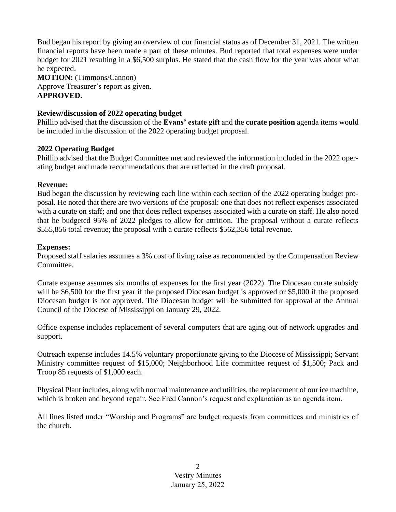Bud began his report by giving an overview of our financial status as of December 31, 2021. The written financial reports have been made a part of these minutes. Bud reported that total expenses were under budget for 2021 resulting in a \$6,500 surplus. He stated that the cash flow for the year was about what he expected.

**MOTION:** (Timmons/Cannon) Approve Treasurer's report as given. **APPROVED.**

#### **Review/discussion of 2022 operating budget**

Phillip advised that the discussion of the **Evans' estate gift** and the **curate position** agenda items would be included in the discussion of the 2022 operating budget proposal.

#### **2022 Operating Budget**

Phillip advised that the Budget Committee met and reviewed the information included in the 2022 operating budget and made recommendations that are reflected in the draft proposal.

#### **Revenue:**

Bud began the discussion by reviewing each line within each section of the 2022 operating budget proposal. He noted that there are two versions of the proposal: one that does not reflect expenses associated with a curate on staff; and one that does reflect expenses associated with a curate on staff. He also noted that he budgeted 95% of 2022 pledges to allow for attrition. The proposal without a curate reflects \$555,856 total revenue; the proposal with a curate reflects \$562,356 total revenue.

#### **Expenses:**

Proposed staff salaries assumes a 3% cost of living raise as recommended by the Compensation Review Committee.

Curate expense assumes six months of expenses for the first year (2022). The Diocesan curate subsidy will be \$6,500 for the first year if the proposed Diocesan budget is approved or \$5,000 if the proposed Diocesan budget is not approved. The Diocesan budget will be submitted for approval at the Annual Council of the Diocese of Mississippi on January 29, 2022.

Office expense includes replacement of several computers that are aging out of network upgrades and support.

Outreach expense includes 14.5% voluntary proportionate giving to the Diocese of Mississippi; Servant Ministry committee request of \$15,000; Neighborhood Life committee request of \$1,500; Pack and Troop 85 requests of \$1,000 each.

Physical Plant includes, along with normal maintenance and utilities, the replacement of our ice machine, which is broken and beyond repair. See Fred Cannon's request and explanation as an agenda item.

All lines listed under "Worship and Programs" are budget requests from committees and ministries of the church.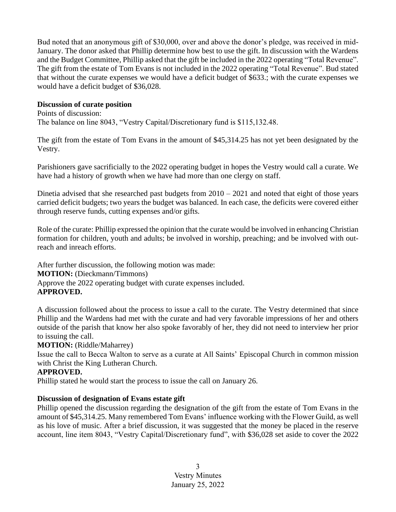Bud noted that an anonymous gift of \$30,000, over and above the donor's pledge, was received in mid-January. The donor asked that Phillip determine how best to use the gift. In discussion with the Wardens and the Budget Committee, Phillip asked that the gift be included in the 2022 operating "Total Revenue". The gift from the estate of Tom Evans is not included in the 2022 operating "Total Revenue". Bud stated that without the curate expenses we would have a deficit budget of \$633.; with the curate expenses we would have a deficit budget of \$36,028.

#### **Discussion of curate position**

Points of discussion: The balance on line 8043, "Vestry Capital/Discretionary fund is \$115,132.48.

The gift from the estate of Tom Evans in the amount of \$45,314.25 has not yet been designated by the Vestry.

Parishioners gave sacrificially to the 2022 operating budget in hopes the Vestry would call a curate. We have had a history of growth when we have had more than one clergy on staff.

Dinetia advised that she researched past budgets from  $2010 - 2021$  and noted that eight of those years carried deficit budgets; two years the budget was balanced. In each case, the deficits were covered either through reserve funds, cutting expenses and/or gifts.

Role of the curate: Phillip expressed the opinion that the curate would be involved in enhancing Christian formation for children, youth and adults; be involved in worship, preaching; and be involved with outreach and inreach efforts.

After further discussion, the following motion was made: **MOTION:** (Dieckmann/Timmons) Approve the 2022 operating budget with curate expenses included. **APPROVED.**

A discussion followed about the process to issue a call to the curate. The Vestry determined that since Phillip and the Wardens had met with the curate and had very favorable impressions of her and others outside of the parish that know her also spoke favorably of her, they did not need to interview her prior to issuing the call.

## **MOTION:** (Riddle/Maharrey)

Issue the call to Becca Walton to serve as a curate at All Saints' Episcopal Church in common mission with Christ the King Lutheran Church.

## **APPROVED.**

Phillip stated he would start the process to issue the call on January 26.

## **Discussion of designation of Evans estate gift**

Phillip opened the discussion regarding the designation of the gift from the estate of Tom Evans in the amount of \$45,314.25. Many remembered Tom Evans' influence working with the Flower Guild, as well as his love of music. After a brief discussion, it was suggested that the money be placed in the reserve account, line item 8043, "Vestry Capital/Discretionary fund", with \$36,028 set aside to cover the 2022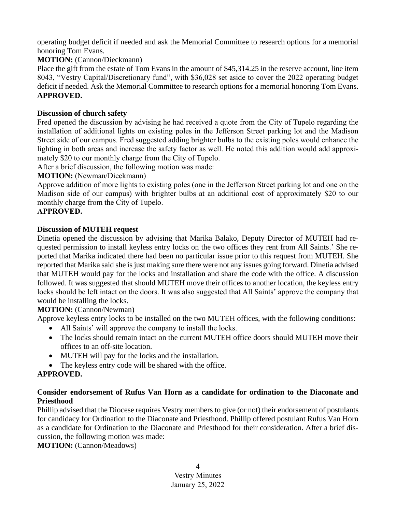operating budget deficit if needed and ask the Memorial Committee to research options for a memorial honoring Tom Evans.

## **MOTION:** (Cannon/Dieckmann)

Place the gift from the estate of Tom Evans in the amount of \$45,314.25 in the reserve account, line item 8043, "Vestry Capital/Discretionary fund", with \$36,028 set aside to cover the 2022 operating budget deficit if needed. Ask the Memorial Committee to research options for a memorial honoring Tom Evans. **APPROVED.**

## **Discussion of church safety**

Fred opened the discussion by advising he had received a quote from the City of Tupelo regarding the installation of additional lights on existing poles in the Jefferson Street parking lot and the Madison Street side of our campus. Fred suggested adding brighter bulbs to the existing poles would enhance the lighting in both areas and increase the safety factor as well. He noted this addition would add approximately \$20 to our monthly charge from the City of Tupelo.

After a brief discussion, the following motion was made:

## **MOTION:** (Newman/Dieckmann)

Approve addition of more lights to existing poles (one in the Jefferson Street parking lot and one on the Madison side of our campus) with brighter bulbs at an additional cost of approximately \$20 to our monthly charge from the City of Tupelo.

## **APPROVED.**

## **Discussion of MUTEH request**

Dinetia opened the discussion by advising that Marika Balako, Deputy Director of MUTEH had requested permission to install keyless entry locks on the two offices they rent from All Saints.' She reported that Marika indicated there had been no particular issue prior to this request from MUTEH. She reported that Marika said she is just making sure there were not any issues going forward. Dinetia advised that MUTEH would pay for the locks and installation and share the code with the office. A discussion followed. It was suggested that should MUTEH move their offices to another location, the keyless entry locks should be left intact on the doors. It was also suggested that All Saints' approve the company that would be installing the locks.

## **MOTION:** (Cannon/Newman)

Approve keyless entry locks to be installed on the two MUTEH offices, with the following conditions:

- All Saints' will approve the company to install the locks.
- The locks should remain intact on the current MUTEH office doors should MUTEH move their offices to an off-site location.
- MUTEH will pay for the locks and the installation.
- The keyless entry code will be shared with the office.

# **APPROVED.**

#### **Consider endorsement of Rufus Van Horn as a candidate for ordination to the Diaconate and Priesthood**

Phillip advised that the Diocese requires Vestry members to give (or not) their endorsement of postulants for candidacy for Ordination to the Diaconate and Priesthood. Phillip offered postulant Rufus Van Horn as a candidate for Ordination to the Diaconate and Priesthood for their consideration. After a brief discussion, the following motion was made:

**MOTION:** (Cannon/Meadows)